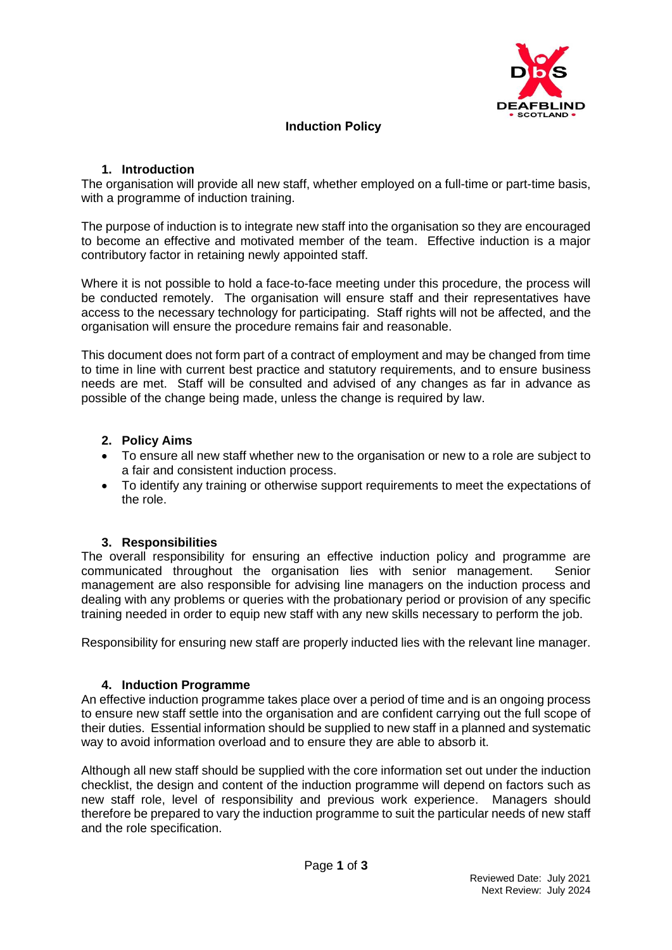

# **Induction Policy**

## **1. Introduction**

The organisation will provide all new staff, whether employed on a full-time or part-time basis, with a programme of induction training.

The purpose of induction is to integrate new staff into the organisation so they are encouraged to become an effective and motivated member of the team. Effective induction is a major contributory factor in retaining newly appointed staff.

Where it is not possible to hold a face-to-face meeting under this procedure, the process will be conducted remotely. The organisation will ensure staff and their representatives have access to the necessary technology for participating. Staff rights will not be affected, and the organisation will ensure the procedure remains fair and reasonable.

This document does not form part of a contract of employment and may be changed from time to time in line with current best practice and statutory requirements, and to ensure business needs are met. Staff will be consulted and advised of any changes as far in advance as possible of the change being made, unless the change is required by law.

## **2. Policy Aims**

- To ensure all new staff whether new to the organisation or new to a role are subject to a fair and consistent induction process.
- To identify any training or otherwise support requirements to meet the expectations of the role.

# **3. Responsibilities**

The overall responsibility for ensuring an effective induction policy and programme are communicated throughout the organisation lies with senior management. Senior management are also responsible for advising line managers on the induction process and dealing with any problems or queries with the probationary period or provision of any specific training needed in order to equip new staff with any new skills necessary to perform the job.

Responsibility for ensuring new staff are properly inducted lies with the relevant line manager.

#### **4. Induction Programme**

An effective induction programme takes place over a period of time and is an ongoing process to ensure new staff settle into the organisation and are confident carrying out the full scope of their duties. Essential information should be supplied to new staff in a planned and systematic way to avoid information overload and to ensure they are able to absorb it.

Although all new staff should be supplied with the core information set out under the induction checklist, the design and content of the induction programme will depend on factors such as new staff role, level of responsibility and previous work experience. Managers should therefore be prepared to vary the induction programme to suit the particular needs of new staff and the role specification.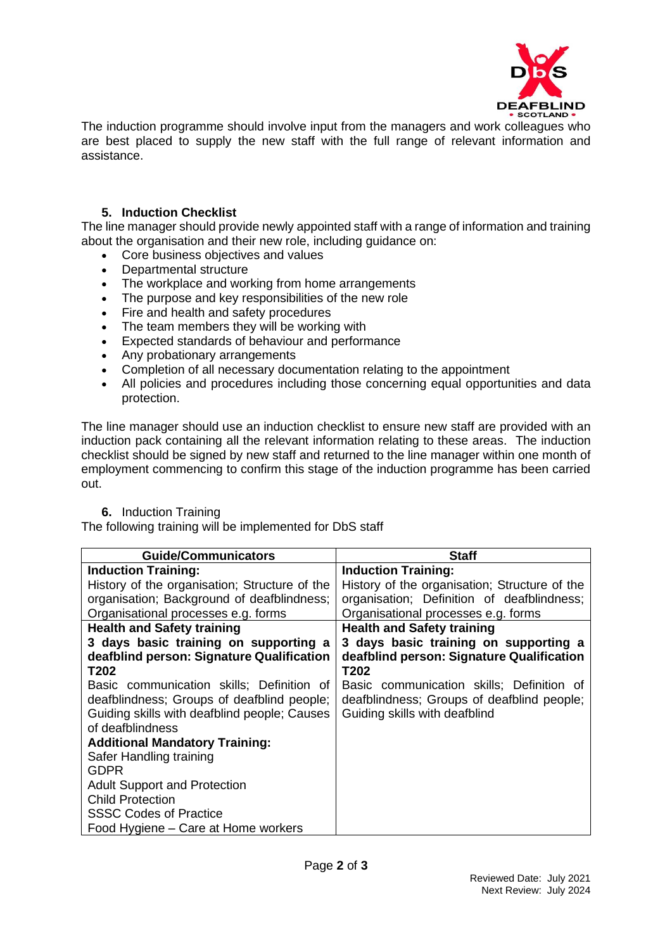

The induction programme should involve input from the managers and work colleagues who are best placed to supply the new staff with the full range of relevant information and assistance.

# **5. Induction Checklist**

The line manager should provide newly appointed staff with a range of information and training about the organisation and their new role, including guidance on:

- Core business objectives and values
- Departmental structure
- The workplace and working from home arrangements
- The purpose and key responsibilities of the new role
- Fire and health and safety procedures
- The team members they will be working with
- Expected standards of behaviour and performance
- Any probationary arrangements
- Completion of all necessary documentation relating to the appointment
- All policies and procedures including those concerning equal opportunities and data protection.

The line manager should use an induction checklist to ensure new staff are provided with an induction pack containing all the relevant information relating to these areas. The induction checklist should be signed by new staff and returned to the line manager within one month of employment commencing to confirm this stage of the induction programme has been carried out.

#### **6.** Induction Training

The following training will be implemented for DbS staff

| <b>Guide/Communicators</b>                    | <b>Staff</b>                                  |
|-----------------------------------------------|-----------------------------------------------|
| <b>Induction Training:</b>                    | <b>Induction Training:</b>                    |
| History of the organisation; Structure of the | History of the organisation; Structure of the |
| organisation; Background of deafblindness;    | organisation; Definition of deafblindness;    |
| Organisational processes e.g. forms           | Organisational processes e.g. forms           |
| <b>Health and Safety training</b>             | <b>Health and Safety training</b>             |
| 3 days basic training on supporting a         | 3 days basic training on supporting a         |
| deafblind person: Signature Qualification     | deafblind person: Signature Qualification     |
| T202                                          | T202                                          |
| Basic communication skills; Definition of     | Basic communication skills; Definition of     |
| deafblindness; Groups of deafblind people;    | deafblindness; Groups of deafblind people;    |
| Guiding skills with deafblind people; Causes  | Guiding skills with deafblind                 |
| of deafblindness                              |                                               |
| <b>Additional Mandatory Training:</b>         |                                               |
| Safer Handling training                       |                                               |
| <b>GDPR</b>                                   |                                               |
| <b>Adult Support and Protection</b>           |                                               |
| <b>Child Protection</b>                       |                                               |
| <b>SSSC Codes of Practice</b>                 |                                               |
| Food Hygiene – Care at Home workers           |                                               |